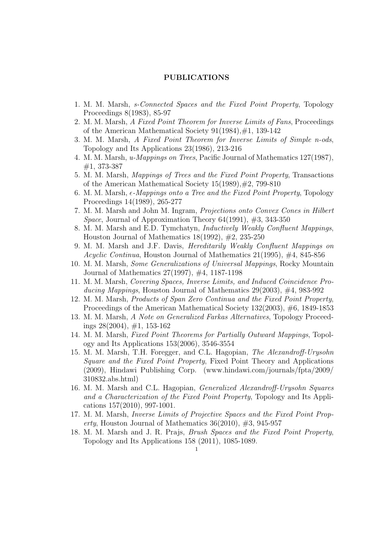## PUBLICATIONS

- 1. M. M. Marsh, s-Connected Spaces and the Fixed Point Property, Topology Proceedings 8(1983), 85-97
- 2. M. M. Marsh, A Fixed Point Theorem for Inverse Limits of Fans, Proceedings of the American Mathematical Society 91(1984),#1, 139-142
- 3. M. M. Marsh, A Fixed Point Theorem for Inverse Limits of Simple n-ods, Topology and Its Applications 23(1986), 213-216
- 4. M. M. Marsh, u-Mappings on Trees, Pacific Journal of Mathematics 127(1987), #1, 373-387
- 5. M. M. Marsh, Mappings of Trees and the Fixed Point Property, Transactions of the American Mathematical Society 15(1989),#2, 799-810
- 6. M. M. Marsh,  $\epsilon$ -*Mappings onto a Tree and the Fixed Point Property*, Topology Proceedings 14(1989), 265-277
- 7. M. M. Marsh and John M. Ingram, Projections onto Convex Cones in Hilbert Space, Journal of Approximation Theory  $64(1991)$ ,  $#3$ , 343-350
- 8. M. M. Marsh and E.D. Tymchatyn, Inductively Weakly Confluent Mappings, Houston Journal of Mathematics  $18(1992)$ ,  $\#2$ ,  $235-250$
- 9. M. M. Marsh and J.F. Davis, Hereditarily Weakly Confluent Mappings on Acyclic Continua, Houston Journal of Mathematics  $21(1995)$ ,  $\#4$ , 845-856
- 10. M. M. Marsh, Some Generalizations of Universal Mappings, Rocky Mountain Journal of Mathematics 27(1997), #4, 1187-1198
- 11. M. M. Marsh, Covering Spaces, Inverse Limits, and Induced Coincidence Producing Mappings, Houston Journal of Mathematics  $29(2003)$ ,  $\#4$ , 983-992
- 12. M. M. Marsh, Products of Span Zero Continua and the Fixed Point Property, Proceedings of the American Mathematical Society 132(2003), #6, 1849-1853
- 13. M. M. Marsh, A Note on Generalized Farkas Alternatives, Topology Proceedings  $28(2004)$ ,  $\#1$ , 153-162
- 14. M. M. Marsh, Fixed Point Theorems for Partially Outward Mappings, Topology and Its Applications 153(2006), 3546-3554
- 15. M. M. Marsh, T.H. Foregger, and C.L. Hagopian, The Alexandroff-Urysohn Square and the Fixed Point Property, Fixed Point Theory and Applications (2009), Hindawi Publishing Corp. (www.hindawi.com/journals/fpta/2009/ 310832.abs.html)
- 16. M. M. Marsh and C.L. Hagopian, Generalized Alexandroff-Urysohn Squares and a Characterization of the Fixed Point Property, Topology and Its Applications 157(2010), 997-1001.
- 17. M. M. Marsh, Inverse Limits of Projective Spaces and the Fixed Point Property, Houston Journal of Mathematics  $36(2010)$ ,  $\#3$ ,  $945-957$
- 18. M. M. Marsh and J. R. Prajs, Brush Spaces and the Fixed Point Property, Topology and Its Applications 158 (2011), 1085-1089.